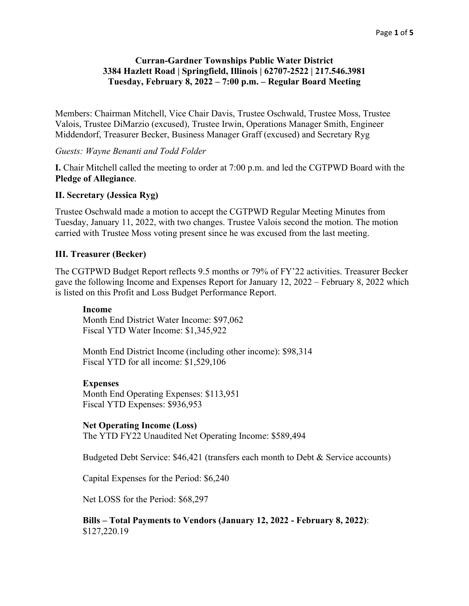# **Curran-Gardner Townships Public Water District 3384 Hazlett Road | Springfield, Illinois | 62707-2522 | 217.546.3981 Tuesday, February 8, 2022 – 7:00 p.m. – Regular Board Meeting**

Members: Chairman Mitchell, Vice Chair Davis, Trustee Oschwald, Trustee Moss, Trustee Valois, Trustee DiMarzio (excused), Trustee Irwin, Operations Manager Smith, Engineer Middendorf, Treasurer Becker, Business Manager Graff (excused) and Secretary Ryg

*Guests: Wayne Benanti and Todd Folder*

**I.** Chair Mitchell called the meeting to order at 7:00 p.m. and led the CGTPWD Board with the **Pledge of Allegiance**.

### **II. Secretary (Jessica Ryg)**

Trustee Oschwald made a motion to accept the CGTPWD Regular Meeting Minutes from Tuesday, January 11, 2022, with two changes. Trustee Valois second the motion. The motion carried with Trustee Moss voting present since he was excused from the last meeting.

### **III. Treasurer (Becker)**

The CGTPWD Budget Report reflects 9.5 months or 79% of FY'22 activities. Treasurer Becker gave the following Income and Expenses Report for January 12, 2022 – February 8, 2022 which is listed on this Profit and Loss Budget Performance Report.

#### **Income**

Month End District Water Income: \$97,062 Fiscal YTD Water Income: \$1,345,922

Month End District Income (including other income): \$98,314 Fiscal YTD for all income: \$1,529,106

#### **Expenses**

Month End Operating Expenses: \$113,951 Fiscal YTD Expenses: \$936,953

#### **Net Operating Income (Loss)**

The YTD FY22 Unaudited Net Operating Income: \$589,494

Budgeted Debt Service: \$46,421 (transfers each month to Debt & Service accounts)

Capital Expenses for the Period: \$6,240

Net LOSS for the Period: \$68,297

**Bills – Total Payments to Vendors (January 12, 2022 - February 8, 2022)**: \$127,220.19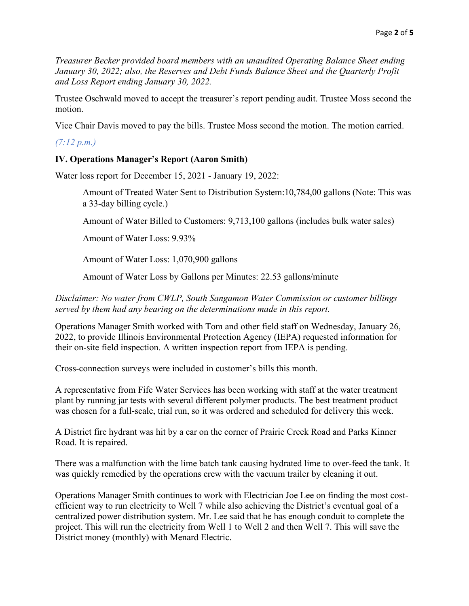*Treasurer Becker provided board members with an unaudited Operating Balance Sheet ending January 30, 2022; also, the Reserves and Debt Funds Balance Sheet and the Quarterly Profit and Loss Report ending January 30, 2022.*

Trustee Oschwald moved to accept the treasurer's report pending audit. Trustee Moss second the motion.

Vice Chair Davis moved to pay the bills. Trustee Moss second the motion. The motion carried.

*(7:12 p.m.)*

# **IV. Operations Manager's Report (Aaron Smith)**

Water loss report for December 15, 2021 - January 19, 2022:

Amount of Treated Water Sent to Distribution System:10,784,00 gallons (Note: This was a 33-day billing cycle.)

Amount of Water Billed to Customers: 9,713,100 gallons (includes bulk water sales)

Amount of Water Loss: 9.93%

Amount of Water Loss: 1,070,900 gallons

Amount of Water Loss by Gallons per Minutes: 22.53 gallons/minute

*Disclaimer: No water from CWLP, South Sangamon Water Commission or customer billings served by them had any bearing on the determinations made in this report.*

Operations Manager Smith worked with Tom and other field staff on Wednesday, January 26, 2022, to provide Illinois Environmental Protection Agency (IEPA) requested information for their on-site field inspection. A written inspection report from IEPA is pending.

Cross-connection surveys were included in customer's bills this month.

A representative from Fife Water Services has been working with staff at the water treatment plant by running jar tests with several different polymer products. The best treatment product was chosen for a full-scale, trial run, so it was ordered and scheduled for delivery this week.

A District fire hydrant was hit by a car on the corner of Prairie Creek Road and Parks Kinner Road. It is repaired.

There was a malfunction with the lime batch tank causing hydrated lime to over-feed the tank. It was quickly remedied by the operations crew with the vacuum trailer by cleaning it out.

Operations Manager Smith continues to work with Electrician Joe Lee on finding the most costefficient way to run electricity to Well 7 while also achieving the District's eventual goal of a centralized power distribution system. Mr. Lee said that he has enough conduit to complete the project. This will run the electricity from Well 1 to Well 2 and then Well 7. This will save the District money (monthly) with Menard Electric.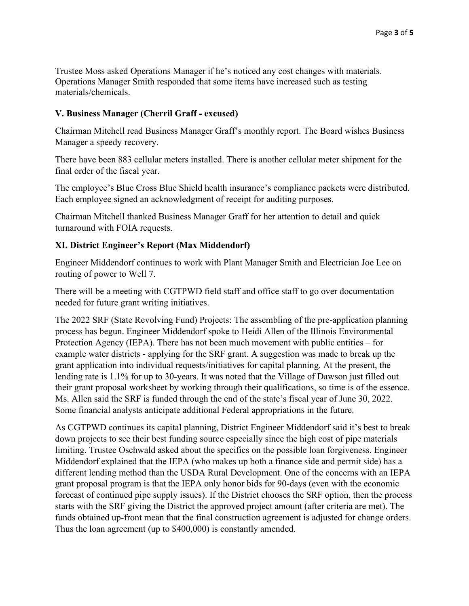Trustee Moss asked Operations Manager if he's noticed any cost changes with materials. Operations Manager Smith responded that some items have increased such as testing materials/chemicals.

# **V. Business Manager (Cherril Graff - excused)**

Chairman Mitchell read Business Manager Graff's monthly report. The Board wishes Business Manager a speedy recovery.

There have been 883 cellular meters installed. There is another cellular meter shipment for the final order of the fiscal year.

The employee's Blue Cross Blue Shield health insurance's compliance packets were distributed. Each employee signed an acknowledgment of receipt for auditing purposes.

Chairman Mitchell thanked Business Manager Graff for her attention to detail and quick turnaround with FOIA requests.

# **XI. District Engineer's Report (Max Middendorf)**

Engineer Middendorf continues to work with Plant Manager Smith and Electrician Joe Lee on routing of power to Well 7.

There will be a meeting with CGTPWD field staff and office staff to go over documentation needed for future grant writing initiatives.

The 2022 SRF (State Revolving Fund) Projects: The assembling of the pre-application planning process has begun. Engineer Middendorf spoke to Heidi Allen of the Illinois Environmental Protection Agency (IEPA). There has not been much movement with public entities – for example water districts - applying for the SRF grant. A suggestion was made to break up the grant application into individual requests/initiatives for capital planning. At the present, the lending rate is 1.1% for up to 30-years. It was noted that the Village of Dawson just filled out their grant proposal worksheet by working through their qualifications, so time is of the essence. Ms. Allen said the SRF is funded through the end of the state's fiscal year of June 30, 2022. Some financial analysts anticipate additional Federal appropriations in the future.

As CGTPWD continues its capital planning, District Engineer Middendorf said it's best to break down projects to see their best funding source especially since the high cost of pipe materials limiting. Trustee Oschwald asked about the specifics on the possible loan forgiveness. Engineer Middendorf explained that the IEPA (who makes up both a finance side and permit side) has a different lending method than the USDA Rural Development. One of the concerns with an IEPA grant proposal program is that the IEPA only honor bids for 90-days (even with the economic forecast of continued pipe supply issues). If the District chooses the SRF option, then the process starts with the SRF giving the District the approved project amount (after criteria are met). The funds obtained up-front mean that the final construction agreement is adjusted for change orders. Thus the loan agreement (up to \$400,000) is constantly amended.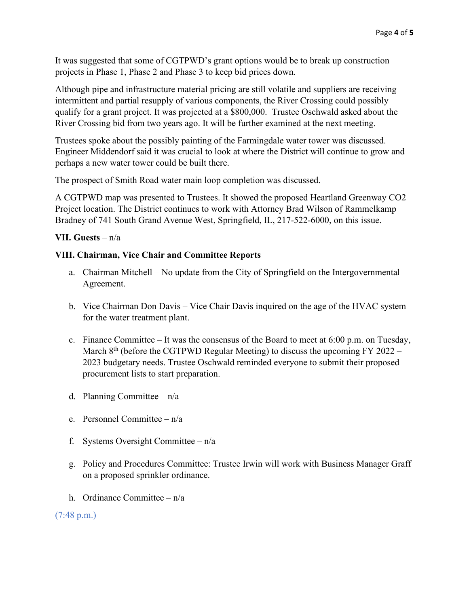It was suggested that some of CGTPWD's grant options would be to break up construction projects in Phase 1, Phase 2 and Phase 3 to keep bid prices down.

Although pipe and infrastructure material pricing are still volatile and suppliers are receiving intermittent and partial resupply of various components, the River Crossing could possibly qualify for a grant project. It was projected at a \$800,000. Trustee Oschwald asked about the River Crossing bid from two years ago. It will be further examined at the next meeting.

Trustees spoke about the possibly painting of the Farmingdale water tower was discussed. Engineer Middendorf said it was crucial to look at where the District will continue to grow and perhaps a new water tower could be built there.

The prospect of Smith Road water main loop completion was discussed.

A CGTPWD map was presented to Trustees. It showed the proposed Heartland Greenway CO2 Project location. The District continues to work with Attorney Brad Wilson of Rammelkamp Bradney of 741 South Grand Avenue West, Springfield, IL, 217-522-6000, on this issue.

### **VII. Guests** – n/a

### **VIII. Chairman, Vice Chair and Committee Reports**

- a. Chairman Mitchell No update from the City of Springfield on the Intergovernmental Agreement.
- b. Vice Chairman Don Davis Vice Chair Davis inquired on the age of the HVAC system for the water treatment plant.
- c. Finance Committee It was the consensus of the Board to meet at 6:00 p.m. on Tuesday, March  $8<sup>th</sup>$  (before the CGTPWD Regular Meeting) to discuss the upcoming FY 2022 – 2023 budgetary needs. Trustee Oschwald reminded everyone to submit their proposed procurement lists to start preparation.
- d. Planning Committee n/a
- e. Personnel Committee n/a
- f. Systems Oversight Committee  $n/a$
- g. Policy and Procedures Committee: Trustee Irwin will work with Business Manager Graff on a proposed sprinkler ordinance.
- h. Ordinance Committee n/a

(7:48 p.m.)